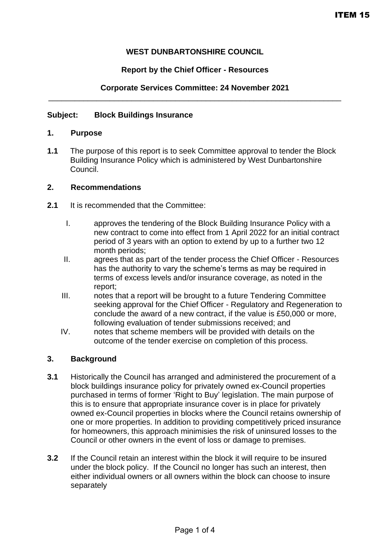# **WEST DUNBARTONSHIRE COUNCIL**

# **Report by the Chief Officer - Resources**

### **Corporate Services Committee: 24 November 2021** \_\_\_\_\_\_\_\_\_\_\_\_\_\_\_\_\_\_\_\_\_\_\_\_\_\_\_\_\_\_\_\_\_\_\_\_\_\_\_\_\_\_\_\_\_\_\_\_\_\_\_\_\_\_\_\_\_\_\_\_\_\_\_\_\_\_\_

## **Subject: Block Buildings Insurance**

#### **1. Purpose**

**1.1** The purpose of this report is to seek Committee approval to tender the Block Building Insurance Policy which is administered by West Dunbartonshire Council.

## **2. Recommendations**

- **2.1** It is recommended that the Committee:
	- I. approves the tendering of the Block Building Insurance Policy with a new contract to come into effect from 1 April 2022 for an initial contract period of 3 years with an option to extend by up to a further two 12 month periods;
	- II. agrees that as part of the tender process the Chief Officer Resources has the authority to vary the scheme's terms as may be required in terms of excess levels and/or insurance coverage, as noted in the report;
	- III. notes that a report will be brought to a future Tendering Committee seeking approval for the Chief Officer - Regulatory and Regeneration to conclude the award of a new contract, if the value is £50,000 or more, following evaluation of tender submissions received; and
	- IV. notes that scheme members will be provided with details on the outcome of the tender exercise on completion of this process.

## **3. Background**

- **3.1** Historically the Council has arranged and administered the procurement of a block buildings insurance policy for privately owned ex-Council properties purchased in terms of former 'Right to Buy' legislation. The main purpose of this is to ensure that appropriate insurance cover is in place for privately owned ex-Council properties in blocks where the Council retains ownership of one or more properties. In addition to providing competitively priced insurance for homeowners, this approach minimisies the risk of uninsured losses to the Council or other owners in the event of loss or damage to premises.
- **3.2** If the Council retain an interest within the block it will require to be insured under the block policy. If the Council no longer has such an interest, then either individual owners or all owners within the block can choose to insure separately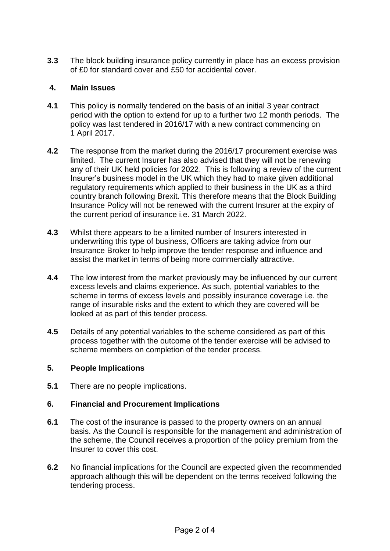**3.3** The block building insurance policy currently in place has an excess provision of £0 for standard cover and £50 for accidental cover.

## **4. Main Issues**

- **4.1** This policy is normally tendered on the basis of an initial 3 year contract period with the option to extend for up to a further two 12 month periods. The policy was last tendered in 2016/17 with a new contract commencing on 1 April 2017.
- **4.2** The response from the market during the 2016/17 procurement exercise was limited. The current Insurer has also advised that they will not be renewing any of their UK held policies for 2022. This is following a review of the current Insurer's business model in the UK which they had to make given additional regulatory requirements which applied to their business in the UK as a third country branch following Brexit. This therefore means that the Block Building Insurance Policy will not be renewed with the current Insurer at the expiry of the current period of insurance i.e. 31 March 2022.
- **4.3** Whilst there appears to be a limited number of Insurers interested in underwriting this type of business, Officers are taking advice from our Insurance Broker to help improve the tender response and influence and assist the market in terms of being more commercially attractive.
- **4.4** The low interest from the market previously may be influenced by our current excess levels and claims experience. As such, potential variables to the scheme in terms of excess levels and possibly insurance coverage i.e. the range of insurable risks and the extent to which they are covered will be looked at as part of this tender process.
- **4.5** Details of any potential variables to the scheme considered as part of this process together with the outcome of the tender exercise will be advised to scheme members on completion of the tender process.

## **5. People Implications**

**5.1** There are no people implications.

# **6. Financial and Procurement Implications**

- **6.1** The cost of the insurance is passed to the property owners on an annual basis. As the Council is responsible for the management and administration of the scheme, the Council receives a proportion of the policy premium from the Insurer to cover this cost.
- **6.2** No financial implications for the Council are expected given the recommended approach although this will be dependent on the terms received following the tendering process.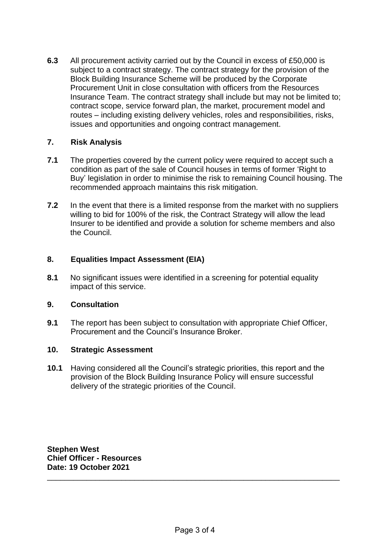**6.3** All procurement activity carried out by the Council in excess of £50,000 is subject to a contract strategy. The contract strategy for the provision of the Block Building Insurance Scheme will be produced by the Corporate Procurement Unit in close consultation with officers from the Resources Insurance Team. The contract strategy shall include but may not be limited to; contract scope, service forward plan, the market, procurement model and routes – including existing delivery vehicles, roles and responsibilities, risks, issues and opportunities and ongoing contract management.

## **7. Risk Analysis**

- **7.1** The properties covered by the current policy were required to accept such a condition as part of the sale of Council houses in terms of former 'Right to Buy' legislation in order to minimise the risk to remaining Council housing. The recommended approach maintains this risk mitigation.
- **7.2** In the event that there is a limited response from the market with no suppliers willing to bid for 100% of the risk, the Contract Strategy will allow the lead Insurer to be identified and provide a solution for scheme members and also the Council.

## **8. Equalities Impact Assessment (EIA)**

**8.1** No significant issues were identified in a screening for potential equality impact of this service.

## **9. Consultation**

**9.1** The report has been subject to consultation with appropriate Chief Officer, Procurement and the Council's Insurance Broker.

## **10. Strategic Assessment**

**10.1** Having considered all the Council's strategic priorities, this report and the provision of the Block Building Insurance Policy will ensure successful delivery of the strategic priorities of the Council.

**Stephen West Chief Officer - Resources Date: 19 October 2021** 

\_\_\_\_\_\_\_\_\_\_\_\_\_\_\_\_\_\_\_\_\_\_\_\_\_\_\_\_\_\_\_\_\_\_\_\_\_\_\_\_\_\_\_\_\_\_\_\_\_\_\_\_\_\_\_\_\_\_\_\_\_\_\_\_\_\_\_